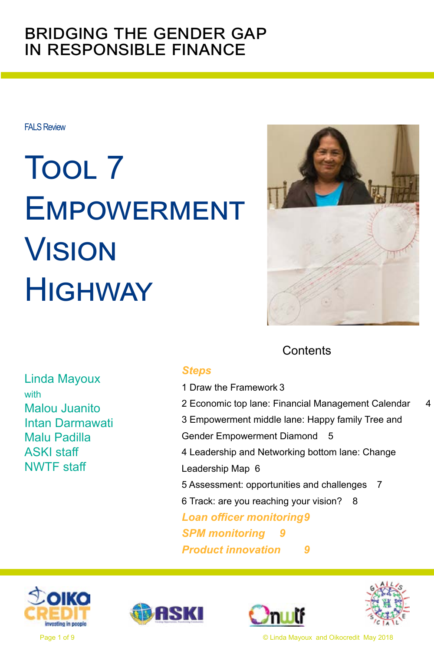#### bridging the gender gap in responsible finance

FALS Review

# Tool 7 **EMPOWERMENT** Vision **HIGHWAY**



#### **Contents**

Linda Mayoux with Malou Juanito Intan Darmawati Malu Padilla ASKI staff NWTF staff

#### *[Steps](#page-1-0)*

- [1 Draw the Framework](#page-2-0) 3
- 2 Economic top Iane: Financial Management Calendar 4
- [3 Empowerment middle lane: Happy family Tree and](#page-4-0)
- [Gender Empowerment Diamond](#page-4-0) 5
- [4 Leadership and Networking bottom lane: Change](#page-5-0)

[Leadership Map](#page-5-0) 6

[5 Assessment: opportunities and challenges](#page-6-0) 7

[6 Track: are you reaching your vision?](#page-7-0) 8

*[Loan officer monitoring9](#page-8-0)*

**SPM** monitoring

*[Product innovation](#page-8-0) 9*









Page 1 of 9 © Linda Mayoux and Oikocredit May 2018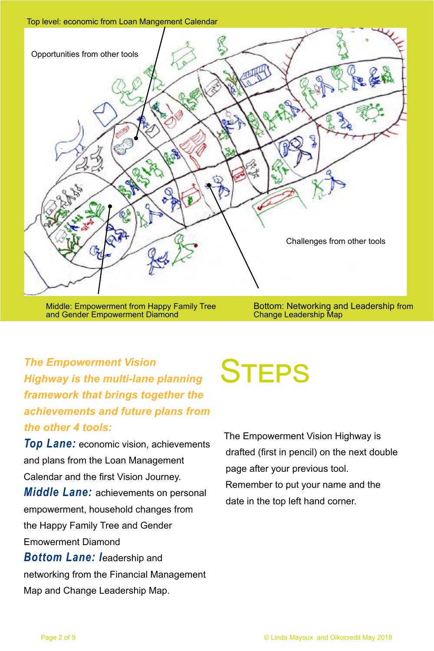<span id="page-1-0"></span>

Middle: Empowerment from Happy Family Tree and Gender Empowerment Diamond

Bottom: Networking and Leadership from Change Leadership Map

#### The Empowerment Vision<br>
Highway is the multi-lane planning **STEPS** *Highway is the multi-lane planning framework that brings together the achievements and future plans from the other 4 tools:*

*Top Lane:* economic vision, achievements and plans from the Loan Management Calendar and the first Vision Journey. *Middle Lane:* achievements on personal empowerment, household changes from the Happy Family Tree and Gender Emowerment Diamond *Bottom Lane: l*eadership and networking from the Financial Management Map and Change Leadership Map.

The Empowerment Vision Highway is drafted (first in pencil) on the next double page after your previous tool. Remember to put your name and the date in the top left hand corner.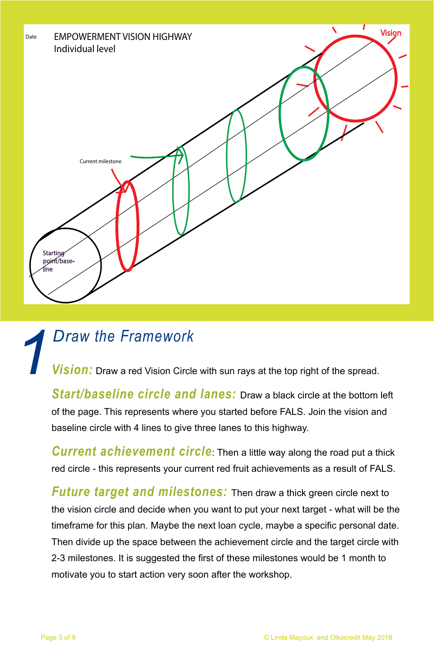<span id="page-2-0"></span>

# *1 Draw the Framework*<br>*Vision:* Draw a red Vision Circle

*Vision:* Draw a red Vision Circle with sun rays at the top right of the spread.

*Start/baseline circle and lanes:* Draw a black circle at the bottom left of the page. This represents where you started before FALS. Join the vision and baseline circle with 4 lines to give three lanes to this highway.

*Current achievement circle*: Then a little way along the road put a thick red circle - this represents your current red fruit achievements as a result of FALS.

*Future target and milestones:* Then draw a thick green circle next to the vision circle and decide when you want to put your next target - what will be the timeframe for this plan. Maybe the next loan cycle, maybe a specific personal date. Then divide up the space between the achievement circle and the target circle with 2-3 milestones. It is suggested the first of these milestones would be 1 month to motivate you to start action very soon after the workshop.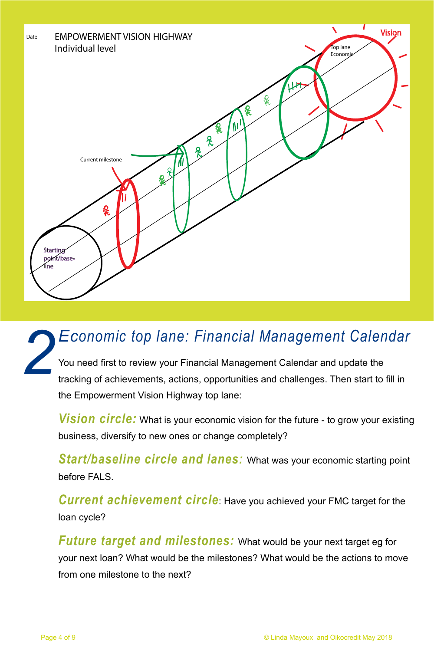<span id="page-3-0"></span>

#### You need first to review your Financial Management Calendar and update the tracking of achievements, actions, opportunities and challenges. Then start to fill in the Empowerment Vision Highway top lane: *2 Economic top lane: Financial Management Calendar*

**Vision circle:** What is your economic vision for the future - to grow your existing business, diversify to new ones or change completely?

*Start/baseline circle and lanes:* What was your economic starting point before FALS.

*Current achievement circle*: Have you achieved your FMC target for the loan cycle?

*Future target and milestones:* What would be your next target eg for your next loan? What would be the milestones? What would be the actions to move from one milestone to the next?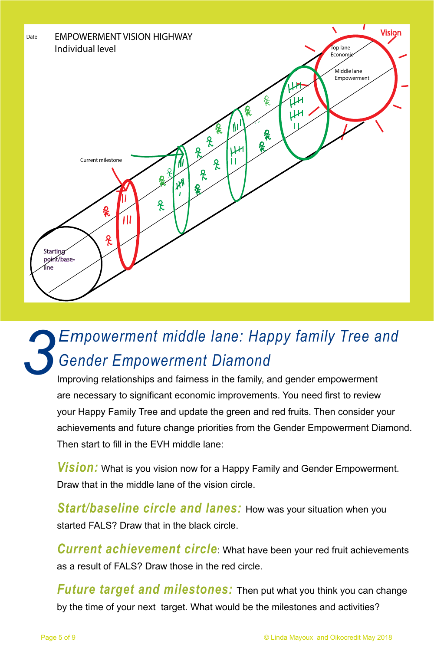<span id="page-4-0"></span>

### *3 Empowerment middle lane: Happy family Tree and Gender Empowerment Diamond*

Improving relationships and fairness in the family, and gender empowerment are necessary to significant economic improvements. You need first to review your Happy Family Tree and update the green and red fruits. Then consider your achievements and future change priorities from the Gender Empowerment Diamond. Then start to fill in the EVH middle lane:

*Vision:* What is you vision now for a Happy Family and Gender Empowerment. Draw that in the middle lane of the vision circle.

*Start/baseline circle and lanes:* How was your situation when you started FALS? Draw that in the black circle.

*Current achievement circle*: What have been your red fruit achievements as a result of FALS? Draw those in the red circle.

*Future target and milestones:* Then put what you think you can change by the time of your next target. What would be the milestones and activities?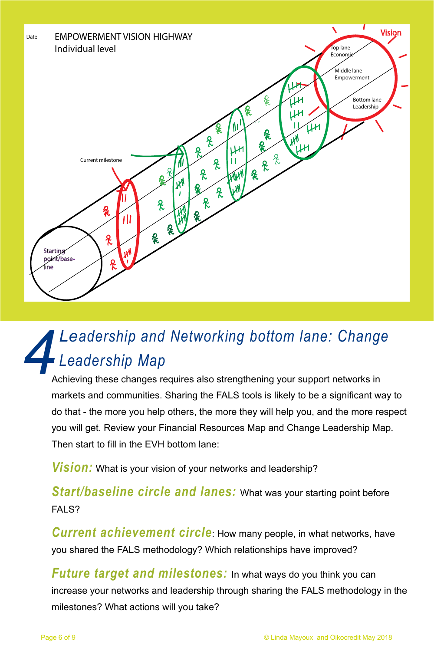<span id="page-5-0"></span>

### *4Leadership and Networking bottom lane: Change Leadership Map*

Achieving these changes requires also strengthening your support networks in markets and communities. Sharing the FALS tools is likely to be a significant way to do that - the more you help others, the more they will help you, and the more respect you will get. Review your Financial Resources Map and Change Leadership Map. Then start to fill in the EVH bottom lane:

*Vision:* What is your vision of your networks and leadership?

*Start/baseline circle and lanes:* What was your starting point before FAI S?

*Current achievement circle*: How many people, in what networks, have you shared the FALS methodology? Which relationships have improved?

*Future target and milestones:* In what ways do you think you can increase your networks and leadership through sharing the FALS methodology in the milestones? What actions will you take?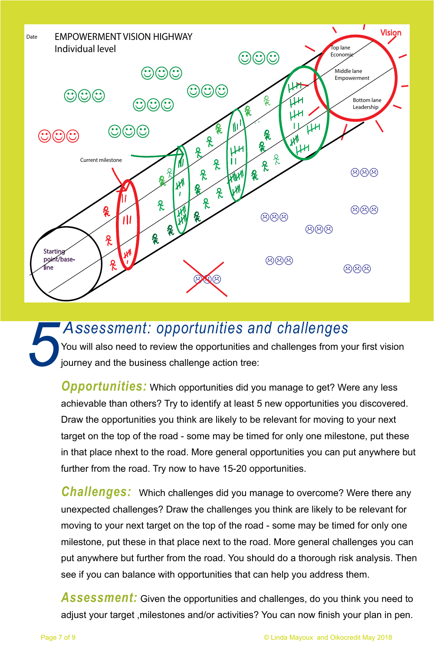<span id="page-6-0"></span>

#### *5 Assessment: opportunities and challenges*

You will also need to review the opportunities and challenges from your first vision journey and the business challenge action tree:

*Opportunities:* Which opportunities did you manage to get? Were any less achievable than others? Try to identify at least 5 new opportunities you discovered. Draw the opportunities you think are likely to be relevant for moving to your next target on the top of the road - some may be timed for only one milestone, put these in that place nhext to the road. More general opportunities you can put anywhere but further from the road. Try now to have 15-20 opportunities.

*Challenges:* Which challenges did you manage to overcome? Were there any unexpected challenges? Draw the challenges you think are likely to be relevant for moving to your next target on the top of the road - some may be timed for only one milestone, put these in that place next to the road. More general challenges you can put anywhere but further from the road. You should do a thorough risk analysis. Then see if you can balance with opportunities that can help you address them.

Assessment: Given the opportunities and challenges, do you think you need to adjust your target ,milestones and/or activities? You can now finish your plan in pen.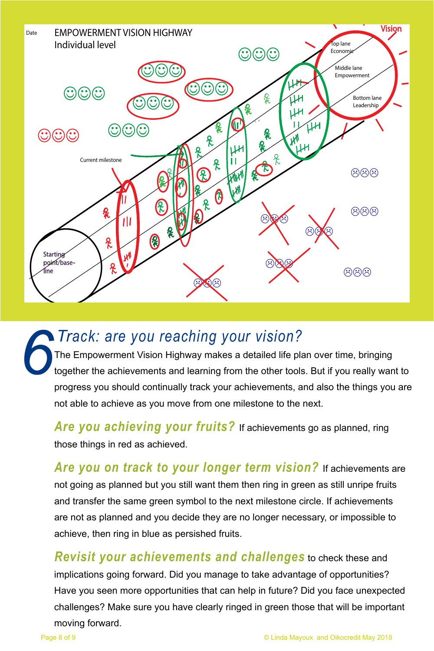<span id="page-7-0"></span>

The Empowerment Vision Highway makes a detailed life plan over time, bringing together the achievements and learning from the other tools. But if you really want to progress you should continually track your achievements, and also the things you are not able to achieve as you move from one milestone to the next. *6 Track: are you reaching your vision?*

*Are you achieving your fruits?* If achievements go as planned, ring those things in red as achieved.

*Are you on track to your longer term vision?* If achievements are not going as planned but you still want them then ring in green as still unripe fruits and transfer the same green symbol to the next milestone circle. If achievements are not as planned and you decide they are no longer necessary, or impossible to achieve, then ring in blue as persished fruits.

*Revisit your achievements and challenges* to check these and implications going forward. Did you manage to take advantage of opportunities? Have you seen more opportunities that can help in future? Did you face unexpected challenges? Make sure you have clearly ringed in green those that will be important moving forward.